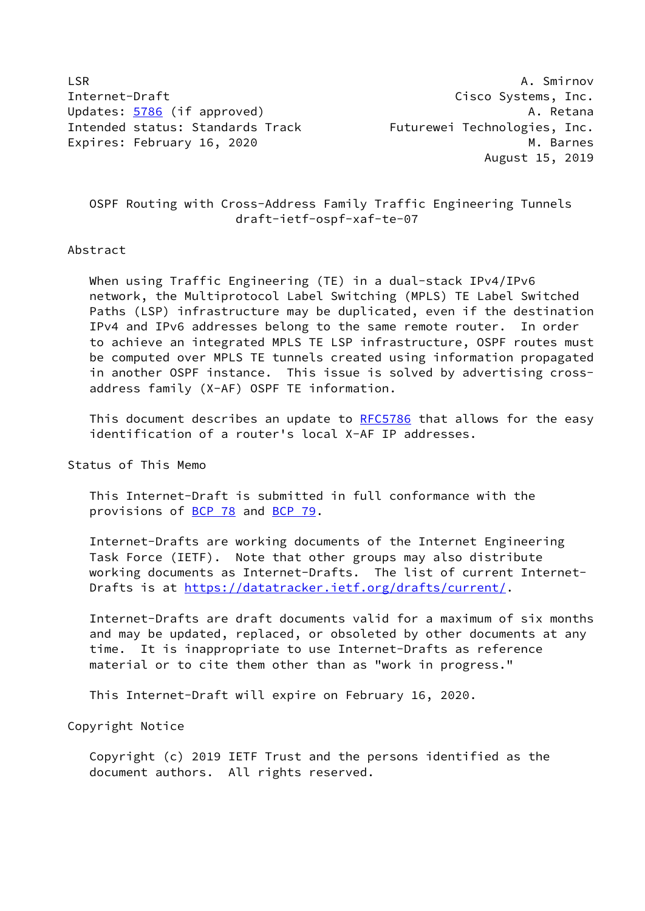LSR A. Smirnov Internet-Draft Cisco Systems, Inc. Updates: [5786](https://datatracker.ietf.org/doc/pdf/rfc5786) (if approved) and the settlement of the A. Retana Intended status: Standards Track Futurewei Technologies, Inc. Expires: February 16, 2020 M. Barnes

August 15, 2019

# OSPF Routing with Cross-Address Family Traffic Engineering Tunnels draft-ietf-ospf-xaf-te-07

## Abstract

 When using Traffic Engineering (TE) in a dual-stack IPv4/IPv6 network, the Multiprotocol Label Switching (MPLS) TE Label Switched Paths (LSP) infrastructure may be duplicated, even if the destination IPv4 and IPv6 addresses belong to the same remote router. In order to achieve an integrated MPLS TE LSP infrastructure, OSPF routes must be computed over MPLS TE tunnels created using information propagated in another OSPF instance. This issue is solved by advertising cross address family (X-AF) OSPF TE information.

 This document describes an update to [RFC5786](https://datatracker.ietf.org/doc/pdf/rfc5786) that allows for the easy identification of a router's local X-AF IP addresses.

Status of This Memo

 This Internet-Draft is submitted in full conformance with the provisions of [BCP 78](https://datatracker.ietf.org/doc/pdf/bcp78) and [BCP 79](https://datatracker.ietf.org/doc/pdf/bcp79).

 Internet-Drafts are working documents of the Internet Engineering Task Force (IETF). Note that other groups may also distribute working documents as Internet-Drafts. The list of current Internet- Drafts is at<https://datatracker.ietf.org/drafts/current/>.

 Internet-Drafts are draft documents valid for a maximum of six months and may be updated, replaced, or obsoleted by other documents at any time. It is inappropriate to use Internet-Drafts as reference material or to cite them other than as "work in progress."

This Internet-Draft will expire on February 16, 2020.

Copyright Notice

 Copyright (c) 2019 IETF Trust and the persons identified as the document authors. All rights reserved.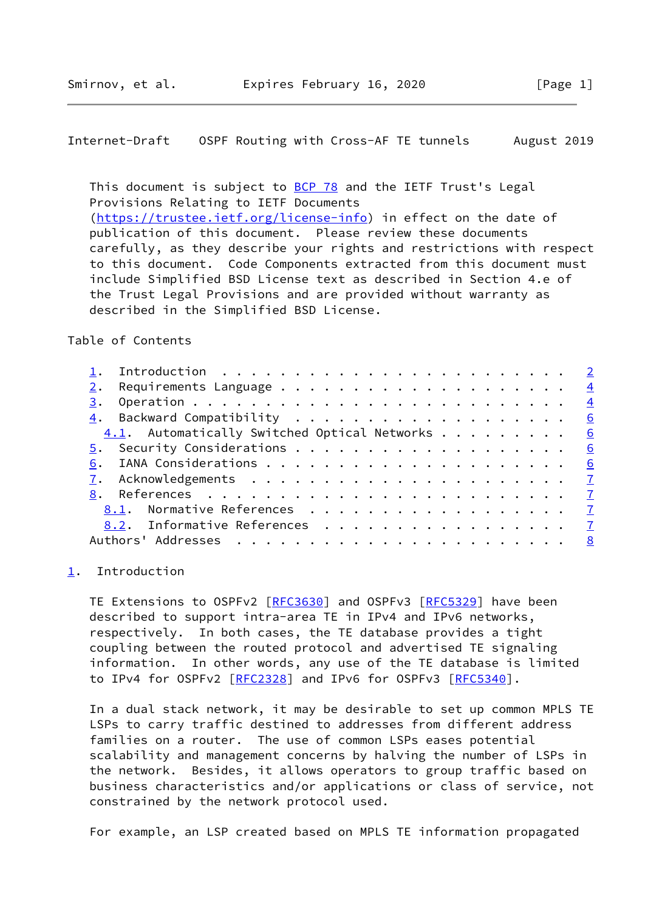<span id="page-1-1"></span>Internet-Draft OSPF Routing with Cross-AF TE tunnels August 2019

This document is subject to [BCP 78](https://datatracker.ietf.org/doc/pdf/bcp78) and the IETF Trust's Legal Provisions Relating to IETF Documents [\(https://trustee.ietf.org/license-info](https://trustee.ietf.org/license-info)) in effect on the date of publication of this document. Please review these documents carefully, as they describe your rights and restrictions with respect to this document. Code Components extracted from this document must include Simplified BSD License text as described in Section 4.e of the Trust Legal Provisions and are provided without warranty as described in the Simplified BSD License.

Table of Contents

|    |                                                               |  |  |  |  |  |  |  |  | $\overline{2}$ |
|----|---------------------------------------------------------------|--|--|--|--|--|--|--|--|----------------|
|    | Requirements Language $\,\ldots\,$ 4                          |  |  |  |  |  |  |  |  |                |
| 3. |                                                               |  |  |  |  |  |  |  |  | $\frac{4}{1}$  |
|    |                                                               |  |  |  |  |  |  |  |  |                |
|    | $\underline{4.1}$ . Automatically Switched Optical Networks 6 |  |  |  |  |  |  |  |  |                |
|    |                                                               |  |  |  |  |  |  |  |  |                |
| 6. |                                                               |  |  |  |  |  |  |  |  |                |
|    |                                                               |  |  |  |  |  |  |  |  |                |
|    |                                                               |  |  |  |  |  |  |  |  |                |
|    | 8.1. Normative References 7                                   |  |  |  |  |  |  |  |  |                |
|    | 8.2. Informative References 7                                 |  |  |  |  |  |  |  |  |                |
|    |                                                               |  |  |  |  |  |  |  |  |                |
|    |                                                               |  |  |  |  |  |  |  |  |                |

### <span id="page-1-0"></span>[1](#page-1-0). Introduction

TE Extensions to OSPFv2 [\[RFC3630](https://datatracker.ietf.org/doc/pdf/rfc3630)] and OSPFv3 [\[RFC5329](https://datatracker.ietf.org/doc/pdf/rfc5329)] have been described to support intra-area TE in IPv4 and IPv6 networks, respectively. In both cases, the TE database provides a tight coupling between the routed protocol and advertised TE signaling information. In other words, any use of the TE database is limited to IPv4 for OSPFv2 [[RFC2328\]](https://datatracker.ietf.org/doc/pdf/rfc2328) and IPv6 for OSPFv3 [\[RFC5340](https://datatracker.ietf.org/doc/pdf/rfc5340)].

 In a dual stack network, it may be desirable to set up common MPLS TE LSPs to carry traffic destined to addresses from different address families on a router. The use of common LSPs eases potential scalability and management concerns by halving the number of LSPs in the network. Besides, it allows operators to group traffic based on business characteristics and/or applications or class of service, not constrained by the network protocol used.

For example, an LSP created based on MPLS TE information propagated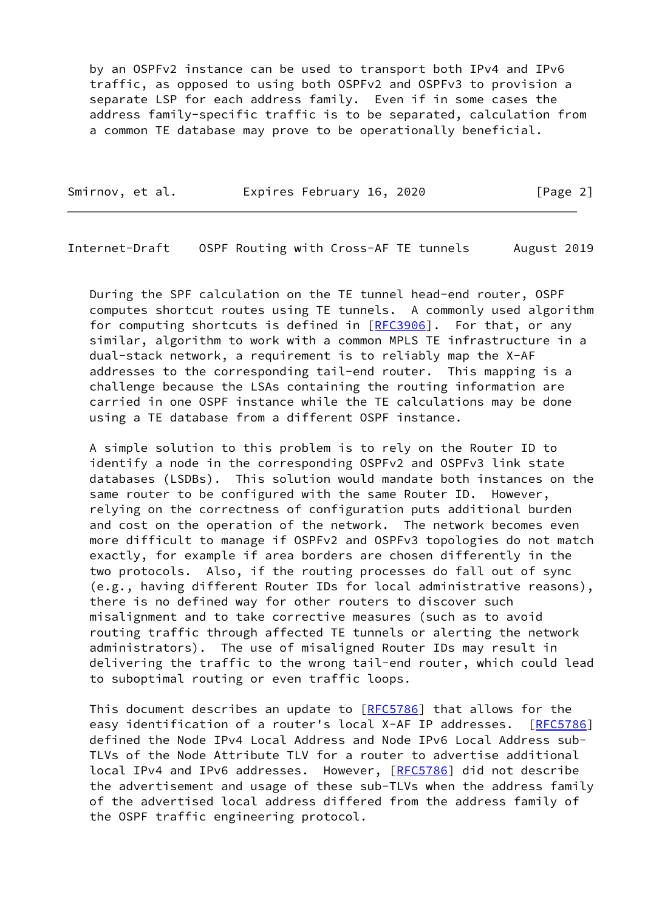by an OSPFv2 instance can be used to transport both IPv4 and IPv6 traffic, as opposed to using both OSPFv2 and OSPFv3 to provision a separate LSP for each address family. Even if in some cases the address family-specific traffic is to be separated, calculation from a common TE database may prove to be operationally beneficial.

| Smirnov, et al. | Expires February 16, 2020 | [Page 2] |
|-----------------|---------------------------|----------|
|                 |                           |          |

Internet-Draft OSPF Routing with Cross-AF TE tunnels August 2019

 During the SPF calculation on the TE tunnel head-end router, OSPF computes shortcut routes using TE tunnels. A commonly used algorithm for computing shortcuts is defined in [[RFC3906](https://datatracker.ietf.org/doc/pdf/rfc3906)]. For that, or any similar, algorithm to work with a common MPLS TE infrastructure in a dual-stack network, a requirement is to reliably map the X-AF addresses to the corresponding tail-end router. This mapping is a challenge because the LSAs containing the routing information are carried in one OSPF instance while the TE calculations may be done using a TE database from a different OSPF instance.

 A simple solution to this problem is to rely on the Router ID to identify a node in the corresponding OSPFv2 and OSPFv3 link state databases (LSDBs). This solution would mandate both instances on the same router to be configured with the same Router ID. However, relying on the correctness of configuration puts additional burden and cost on the operation of the network. The network becomes even more difficult to manage if OSPFv2 and OSPFv3 topologies do not match exactly, for example if area borders are chosen differently in the two protocols. Also, if the routing processes do fall out of sync (e.g., having different Router IDs for local administrative reasons), there is no defined way for other routers to discover such misalignment and to take corrective measures (such as to avoid routing traffic through affected TE tunnels or alerting the network administrators). The use of misaligned Router IDs may result in delivering the traffic to the wrong tail-end router, which could lead to suboptimal routing or even traffic loops.

This document describes an update to [\[RFC5786](https://datatracker.ietf.org/doc/pdf/rfc5786)] that allows for the easy identification of a router's local X-AF IP addresses. [\[RFC5786](https://datatracker.ietf.org/doc/pdf/rfc5786)] defined the Node IPv4 Local Address and Node IPv6 Local Address sub- TLVs of the Node Attribute TLV for a router to advertise additional local IPv4 and IPv6 addresses. However, [\[RFC5786](https://datatracker.ietf.org/doc/pdf/rfc5786)] did not describe the advertisement and usage of these sub-TLVs when the address family of the advertised local address differed from the address family of the OSPF traffic engineering protocol.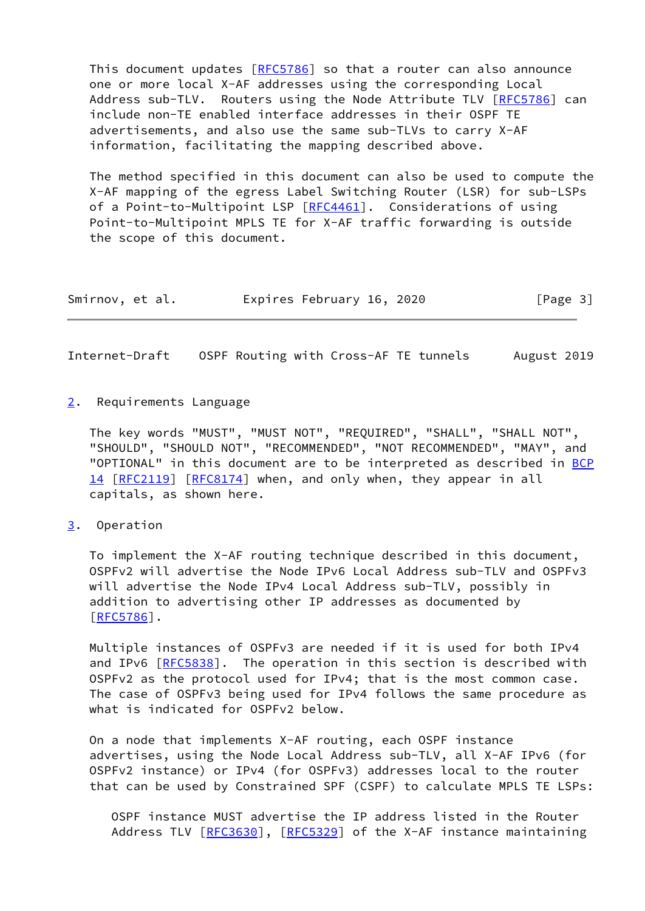This document updates [[RFC5786](https://datatracker.ietf.org/doc/pdf/rfc5786)] so that a router can also announce one or more local X-AF addresses using the corresponding Local Address sub-TLV. Routers using the Node Attribute TLV [\[RFC5786](https://datatracker.ietf.org/doc/pdf/rfc5786)] can include non-TE enabled interface addresses in their OSPF TE advertisements, and also use the same sub-TLVs to carry X-AF information, facilitating the mapping described above.

 The method specified in this document can also be used to compute the X-AF mapping of the egress Label Switching Router (LSR) for sub-LSPs of a Point-to-Multipoint LSP [\[RFC4461](https://datatracker.ietf.org/doc/pdf/rfc4461)]. Considerations of using Point-to-Multipoint MPLS TE for X-AF traffic forwarding is outside the scope of this document.

| Smirnov, et al. | Expires February 16, 2020 | [Page 3] |
|-----------------|---------------------------|----------|
|-----------------|---------------------------|----------|

<span id="page-3-1"></span>Internet-Draft OSPF Routing with Cross-AF TE tunnels August 2019

<span id="page-3-0"></span>[2](#page-3-0). Requirements Language

 The key words "MUST", "MUST NOT", "REQUIRED", "SHALL", "SHALL NOT", "SHOULD", "SHOULD NOT", "RECOMMENDED", "NOT RECOMMENDED", "MAY", and "OPTIONAL" in this document are to be interpreted as described in [BCP](https://datatracker.ietf.org/doc/pdf/bcp14) [14](https://datatracker.ietf.org/doc/pdf/bcp14) [[RFC2119\]](https://datatracker.ietf.org/doc/pdf/rfc2119) [\[RFC8174](https://datatracker.ietf.org/doc/pdf/rfc8174)] when, and only when, they appear in all capitals, as shown here.

<span id="page-3-2"></span>[3](#page-3-2). Operation

 To implement the X-AF routing technique described in this document, OSPFv2 will advertise the Node IPv6 Local Address sub-TLV and OSPFv3 will advertise the Node IPv4 Local Address sub-TLV, possibly in addition to advertising other IP addresses as documented by [\[RFC5786](https://datatracker.ietf.org/doc/pdf/rfc5786)].

 Multiple instances of OSPFv3 are needed if it is used for both IPv4 and IPv6 [\[RFC5838](https://datatracker.ietf.org/doc/pdf/rfc5838)]. The operation in this section is described with OSPFv2 as the protocol used for IPv4; that is the most common case. The case of OSPFv3 being used for IPv4 follows the same procedure as what is indicated for OSPFv2 below.

 On a node that implements X-AF routing, each OSPF instance advertises, using the Node Local Address sub-TLV, all X-AF IPv6 (for OSPFv2 instance) or IPv4 (for OSPFv3) addresses local to the router that can be used by Constrained SPF (CSPF) to calculate MPLS TE LSPs:

 OSPF instance MUST advertise the IP address listed in the Router Address TLV [\[RFC3630](https://datatracker.ietf.org/doc/pdf/rfc3630)], [[RFC5329](https://datatracker.ietf.org/doc/pdf/rfc5329)] of the X-AF instance maintaining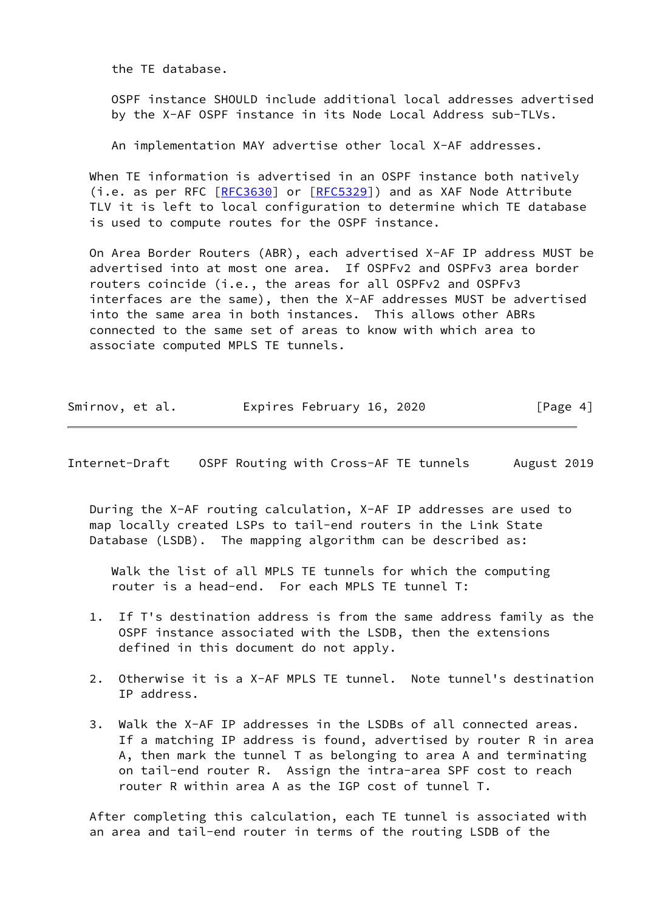the TE database.

 OSPF instance SHOULD include additional local addresses advertised by the X-AF OSPF instance in its Node Local Address sub-TLVs.

An implementation MAY advertise other local X-AF addresses.

 When TE information is advertised in an OSPF instance both natively (i.e. as per RFC [\[RFC3630](https://datatracker.ietf.org/doc/pdf/rfc3630)] or [[RFC5329](https://datatracker.ietf.org/doc/pdf/rfc5329)]) and as XAF Node Attribute TLV it is left to local configuration to determine which TE database is used to compute routes for the OSPF instance.

 On Area Border Routers (ABR), each advertised X-AF IP address MUST be advertised into at most one area. If OSPFv2 and OSPFv3 area border routers coincide (i.e., the areas for all OSPFv2 and OSPFv3 interfaces are the same), then the X-AF addresses MUST be advertised into the same area in both instances. This allows other ABRs connected to the same set of areas to know with which area to associate computed MPLS TE tunnels.

| Smirnov, et al. |  | Expires February 16, 2020 | [Page 4] |
|-----------------|--|---------------------------|----------|
|-----------------|--|---------------------------|----------|

Internet-Draft OSPF Routing with Cross-AF TE tunnels August 2019

 During the X-AF routing calculation, X-AF IP addresses are used to map locally created LSPs to tail-end routers in the Link State Database (LSDB). The mapping algorithm can be described as:

 Walk the list of all MPLS TE tunnels for which the computing router is a head-end. For each MPLS TE tunnel T:

- 1. If T's destination address is from the same address family as the OSPF instance associated with the LSDB, then the extensions defined in this document do not apply.
- 2. Otherwise it is a X-AF MPLS TE tunnel. Note tunnel's destination IP address.
- 3. Walk the X-AF IP addresses in the LSDBs of all connected areas. If a matching IP address is found, advertised by router R in area A, then mark the tunnel T as belonging to area A and terminating on tail-end router R. Assign the intra-area SPF cost to reach router R within area A as the IGP cost of tunnel T.

 After completing this calculation, each TE tunnel is associated with an area and tail-end router in terms of the routing LSDB of the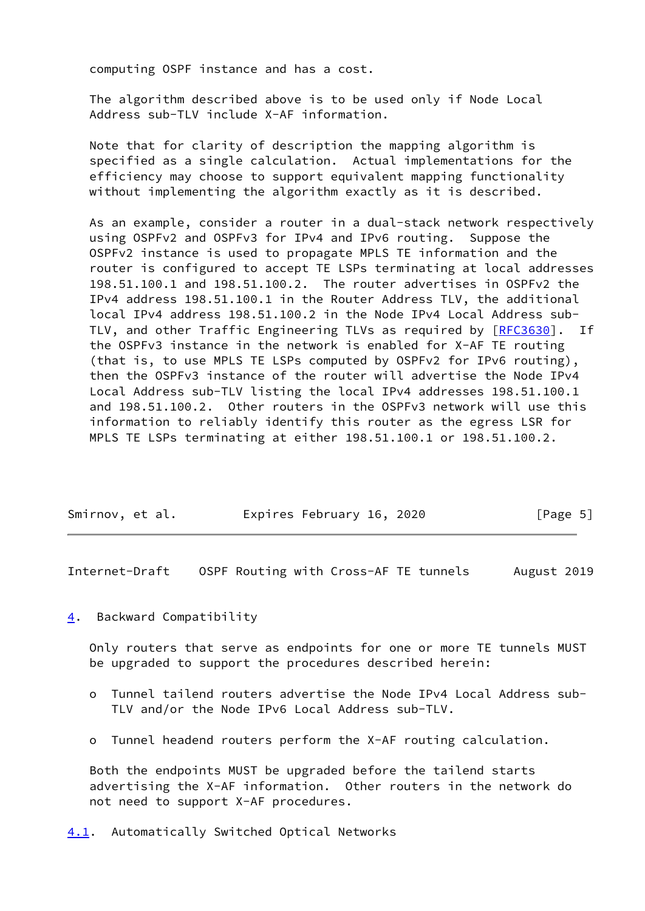computing OSPF instance and has a cost.

 The algorithm described above is to be used only if Node Local Address sub-TLV include X-AF information.

 Note that for clarity of description the mapping algorithm is specified as a single calculation. Actual implementations for the efficiency may choose to support equivalent mapping functionality without implementing the algorithm exactly as it is described.

 As an example, consider a router in a dual-stack network respectively using OSPFv2 and OSPFv3 for IPv4 and IPv6 routing. Suppose the OSPFv2 instance is used to propagate MPLS TE information and the router is configured to accept TE LSPs terminating at local addresses 198.51.100.1 and 198.51.100.2. The router advertises in OSPFv2 the IPv4 address 198.51.100.1 in the Router Address TLV, the additional local IPv4 address 198.51.100.2 in the Node IPv4 Local Address sub- TLV, and other Traffic Engineering TLVs as required by [\[RFC3630](https://datatracker.ietf.org/doc/pdf/rfc3630)]. If the OSPFv3 instance in the network is enabled for X-AF TE routing (that is, to use MPLS TE LSPs computed by OSPFv2 for IPv6 routing), then the OSPFv3 instance of the router will advertise the Node IPv4 Local Address sub-TLV listing the local IPv4 addresses 198.51.100.1 and 198.51.100.2. Other routers in the OSPFv3 network will use this information to reliably identify this router as the egress LSR for MPLS TE LSPs terminating at either 198.51.100.1 or 198.51.100.2.

| Smirnov, et al. | Expires February 16, 2020 | [Page 5] |
|-----------------|---------------------------|----------|
|                 |                           |          |

<span id="page-5-1"></span>Internet-Draft OSPF Routing with Cross-AF TE tunnels August 2019

<span id="page-5-0"></span>[4](#page-5-0). Backward Compatibility

 Only routers that serve as endpoints for one or more TE tunnels MUST be upgraded to support the procedures described herein:

- o Tunnel tailend routers advertise the Node IPv4 Local Address sub- TLV and/or the Node IPv6 Local Address sub-TLV.
- o Tunnel headend routers perform the X-AF routing calculation.

<span id="page-5-2"></span> Both the endpoints MUST be upgraded before the tailend starts advertising the X-AF information. Other routers in the network do not need to support X-AF procedures.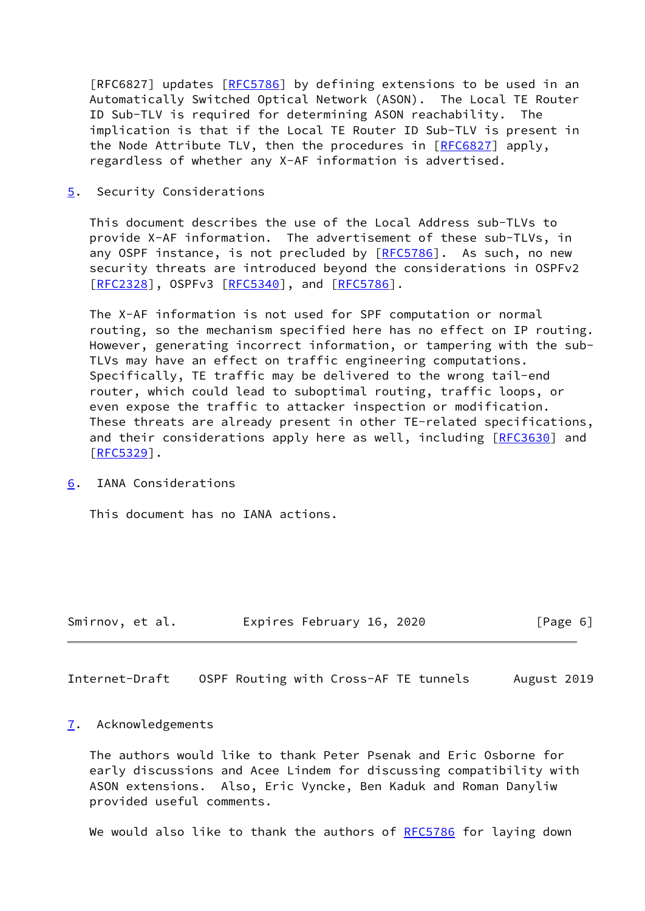[RFC6827] updates [[RFC5786](https://datatracker.ietf.org/doc/pdf/rfc5786)] by defining extensions to be used in an Automatically Switched Optical Network (ASON). The Local TE Router ID Sub-TLV is required for determining ASON reachability. The implication is that if the Local TE Router ID Sub-TLV is present in the Node Attribute TLV, then the procedures in [\[RFC6827](https://datatracker.ietf.org/doc/pdf/rfc6827)] apply, regardless of whether any X-AF information is advertised.

<span id="page-6-0"></span>[5](#page-6-0). Security Considerations

 This document describes the use of the Local Address sub-TLVs to provide X-AF information. The advertisement of these sub-TLVs, in any OSPF instance, is not precluded by [\[RFC5786](https://datatracker.ietf.org/doc/pdf/rfc5786)]. As such, no new security threats are introduced beyond the considerations in OSPFv2 [\[RFC2328](https://datatracker.ietf.org/doc/pdf/rfc2328)], OSPFv3 [[RFC5340](https://datatracker.ietf.org/doc/pdf/rfc5340)], and [\[RFC5786](https://datatracker.ietf.org/doc/pdf/rfc5786)].

 The X-AF information is not used for SPF computation or normal routing, so the mechanism specified here has no effect on IP routing. However, generating incorrect information, or tampering with the sub- TLVs may have an effect on traffic engineering computations. Specifically, TE traffic may be delivered to the wrong tail-end router, which could lead to suboptimal routing, traffic loops, or even expose the traffic to attacker inspection or modification. These threats are already present in other TE-related specifications, and their considerations apply here as well, including [\[RFC3630](https://datatracker.ietf.org/doc/pdf/rfc3630)] and [\[RFC5329](https://datatracker.ietf.org/doc/pdf/rfc5329)].

<span id="page-6-1"></span>[6](#page-6-1). IANA Considerations

This document has no IANA actions.

| Smirnov, et al. | Expires February 16, 2020 | [Page 6] |
|-----------------|---------------------------|----------|
|-----------------|---------------------------|----------|

<span id="page-6-3"></span>Internet-Draft OSPF Routing with Cross-AF TE tunnels August 2019

#### <span id="page-6-2"></span>[7](#page-6-2). Acknowledgements

 The authors would like to thank Peter Psenak and Eric Osborne for early discussions and Acee Lindem for discussing compatibility with ASON extensions. Also, Eric Vyncke, Ben Kaduk and Roman Danyliw provided useful comments.

We would also like to thank the authors of [RFC5786](https://datatracker.ietf.org/doc/pdf/rfc5786) for laying down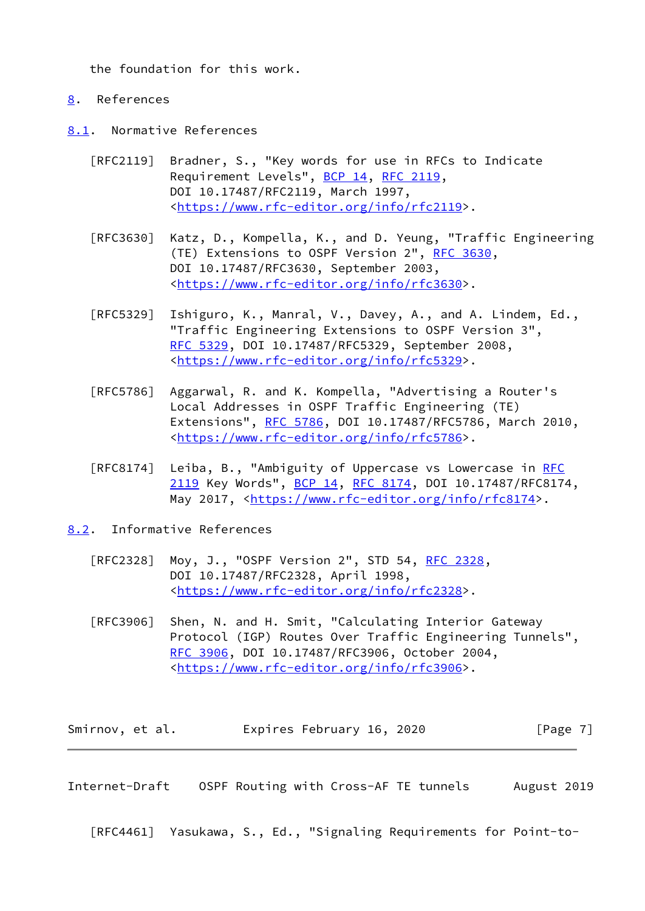the foundation for this work.

## <span id="page-7-0"></span>[8](#page-7-0). References

- <span id="page-7-1"></span>[8.1](#page-7-1). Normative References
	- [RFC2119] Bradner, S., "Key words for use in RFCs to Indicate Requirement Levels", [BCP 14](https://datatracker.ietf.org/doc/pdf/bcp14), [RFC 2119](https://datatracker.ietf.org/doc/pdf/rfc2119), DOI 10.17487/RFC2119, March 1997, <[https://www.rfc-editor.org/info/rfc2119>](https://www.rfc-editor.org/info/rfc2119).
	- [RFC3630] Katz, D., Kompella, K., and D. Yeung, "Traffic Engineering (TE) Extensions to OSPF Version 2", [RFC 3630,](https://datatracker.ietf.org/doc/pdf/rfc3630) DOI 10.17487/RFC3630, September 2003, <[https://www.rfc-editor.org/info/rfc3630>](https://www.rfc-editor.org/info/rfc3630).
	- [RFC5329] Ishiguro, K., Manral, V., Davey, A., and A. Lindem, Ed., "Traffic Engineering Extensions to OSPF Version 3", [RFC 5329,](https://datatracker.ietf.org/doc/pdf/rfc5329) DOI 10.17487/RFC5329, September 2008, <[https://www.rfc-editor.org/info/rfc5329>](https://www.rfc-editor.org/info/rfc5329).
	- [RFC5786] Aggarwal, R. and K. Kompella, "Advertising a Router's Local Addresses in OSPF Traffic Engineering (TE) Extensions", [RFC 5786](https://datatracker.ietf.org/doc/pdf/rfc5786), DOI 10.17487/RFC5786, March 2010, <[https://www.rfc-editor.org/info/rfc5786>](https://www.rfc-editor.org/info/rfc5786).
	- [RFC8174] Leiba, B., "Ambiguity of Uppercase vs Lowercase in [RFC](https://datatracker.ietf.org/doc/pdf/rfc2119) [2119](https://datatracker.ietf.org/doc/pdf/rfc2119) Key Words", [BCP 14](https://datatracker.ietf.org/doc/pdf/bcp14), [RFC 8174,](https://datatracker.ietf.org/doc/pdf/rfc8174) DOI 10.17487/RFC8174, May 2017, [<https://www.rfc-editor.org/info/rfc8174](https://www.rfc-editor.org/info/rfc8174)>.

<span id="page-7-2"></span>[8.2](#page-7-2). Informative References

- [RFC2328] Moy, J., "OSPF Version 2", STD 54, [RFC 2328](https://datatracker.ietf.org/doc/pdf/rfc2328), DOI 10.17487/RFC2328, April 1998, <[https://www.rfc-editor.org/info/rfc2328>](https://www.rfc-editor.org/info/rfc2328).
- [RFC3906] Shen, N. and H. Smit, "Calculating Interior Gateway Protocol (IGP) Routes Over Traffic Engineering Tunnels", [RFC 3906,](https://datatracker.ietf.org/doc/pdf/rfc3906) DOI 10.17487/RFC3906, October 2004, <[https://www.rfc-editor.org/info/rfc3906>](https://www.rfc-editor.org/info/rfc3906).

| Smirnov, et al. | Expires February 16, 2020 | [Page 7] |
|-----------------|---------------------------|----------|
|-----------------|---------------------------|----------|

<span id="page-7-3"></span>Internet-Draft OSPF Routing with Cross-AF TE tunnels August 2019

[RFC4461] Yasukawa, S., Ed., "Signaling Requirements for Point-to-